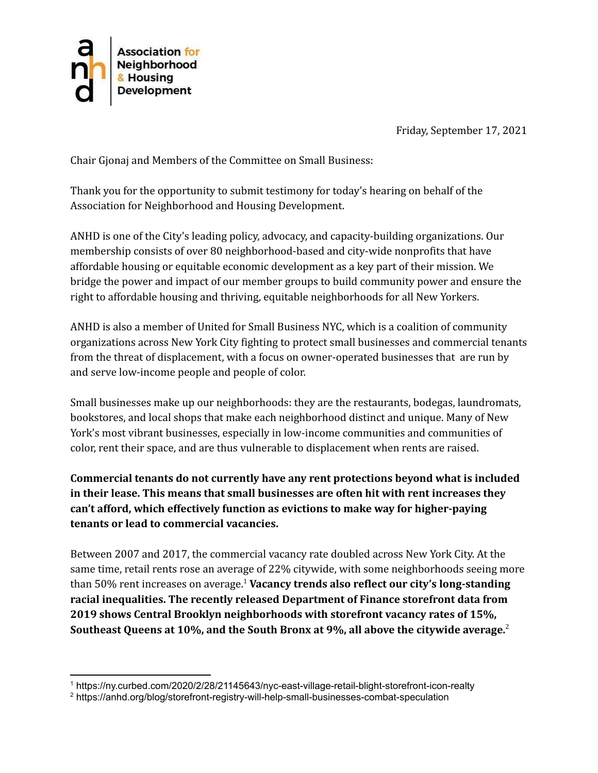

Friday, September 17, 2021

Chair Gjonaj and Members of the Committee on Small Business:

Thank you for the opportunity to submit testimony for today's hearing on behalf of the Association for Neighborhood and Housing Development.

ANHD is one of the City's leading policy, advocacy, and capacity-building organizations. Our membership consists of over 80 neighborhood-based and city-wide nonprofits that have affordable housing or equitable economic development as a key part of their mission. We bridge the power and impact of our member groups to build community power and ensure the right to affordable housing and thriving, equitable neighborhoods for all New Yorkers.

ANHD is also a member of United for Small Business NYC, which is a coalition of community organizations across New York City fighting to protect small businesses and commercial tenants from the threat of displacement, with a focus on owner-operated businesses that are run by and serve low-income people and people of color.

Small businesses make up our neighborhoods: they are the restaurants, bodegas, laundromats, bookstores, and local shops that make each neighborhood distinct and unique. Many of New York's most vibrant businesses, especially in low-income communities and communities of color, rent their space, and are thus vulnerable to displacement when rents are raised.

**Commercial tenants do not currently have any rent protections beyond what is included in their lease. This means that small businesses are often hit with rent increases they can't afford, which effectively function as evictions to make way for higher-paying tenants or lead to commercial vacancies.**

Between 2007 and 2017, the commercial vacancy rate doubled across New York City. At the same time, retail rents rose an average of 22% citywide, with some neighborhoods seeing more than 50% rent increases on average. <sup>1</sup> **Vacancy trends also reflect our city's long-standing racial inequalities. The recently released Department of Finance storefront data from 2019 shows Central Brooklyn neighborhoods with storefront vacancy rates of 15%, Southeast Queens at 10%, and the South Bronx at 9%, all above the citywide average.** 2

<sup>1</sup> https://ny.curbed.com/2020/2/28/21145643/nyc-east-village-retail-blight-storefront-icon-realty

<sup>2</sup> https://anhd.org/blog/storefront-registry-will-help-small-businesses-combat-speculation